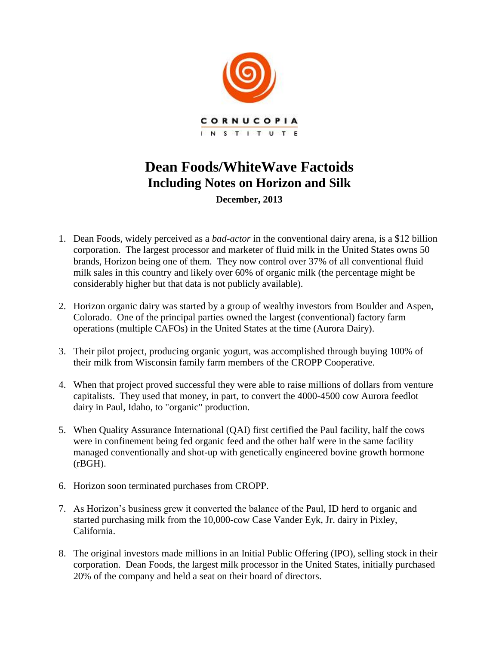

## **Dean Foods/WhiteWave Factoids Including Notes on Horizon and Silk**

**December, 2013**

- 1. Dean Foods, widely perceived as a *bad-actor* in the conventional dairy arena, is a \$12 billion corporation. The largest processor and marketer of fluid milk in the United States owns 50 brands, Horizon being one of them. They now control over 37% of all conventional fluid milk sales in this country and likely over 60% of organic milk (the percentage might be considerably higher but that data is not publicly available).
- 2. Horizon organic dairy was started by a group of wealthy investors from Boulder and Aspen, Colorado. One of the principal parties owned the largest (conventional) factory farm operations (multiple CAFOs) in the United States at the time (Aurora Dairy).
- 3. Their pilot project, producing organic yogurt, was accomplished through buying 100% of their milk from Wisconsin family farm members of the CROPP Cooperative.
- 4. When that project proved successful they were able to raise millions of dollars from venture capitalists. They used that money, in part, to convert the 4000-4500 cow Aurora feedlot dairy in Paul, Idaho, to "organic" production.
- 5. When Quality Assurance International (QAI) first certified the Paul facility, half the cows were in confinement being fed organic feed and the other half were in the same facility managed conventionally and shot-up with genetically engineered bovine growth hormone (rBGH).
- 6. Horizon soon terminated purchases from CROPP.
- 7. As Horizon's business grew it converted the balance of the Paul, ID herd to organic and started purchasing milk from the 10,000-cow Case Vander Eyk, Jr. dairy in Pixley, California.
- 8. The original investors made millions in an Initial Public Offering (IPO), selling stock in their corporation. Dean Foods, the largest milk processor in the United States, initially purchased 20% of the company and held a seat on their board of directors.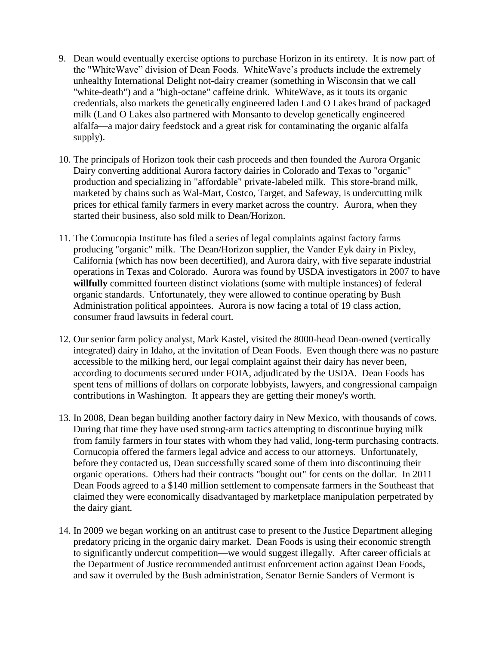- 9. Dean would eventually exercise options to purchase Horizon in its entirety. It is now part of the "WhiteWave" division of Dean Foods. WhiteWave's products include the extremely unhealthy International Delight not-dairy creamer (something in Wisconsin that we call "white-death") and a "high-octane" caffeine drink. WhiteWave, as it touts its organic credentials, also markets the genetically engineered laden Land O Lakes brand of packaged milk (Land O Lakes also partnered with Monsanto to develop genetically engineered alfalfa—a major dairy feedstock and a great risk for contaminating the organic alfalfa supply).
- 10. The principals of Horizon took their cash proceeds and then founded the Aurora Organic Dairy converting additional Aurora factory dairies in Colorado and Texas to "organic" production and specializing in "affordable" private-labeled milk. This store-brand milk, marketed by chains such as Wal-Mart, Costco, Target, and Safeway, is undercutting milk prices for ethical family farmers in every market across the country. Aurora, when they started their business, also sold milk to Dean/Horizon.
- 11. The Cornucopia Institute has filed a series of legal complaints against factory farms producing "organic" milk. The Dean/Horizon supplier, the Vander Eyk dairy in Pixley, California (which has now been decertified), and Aurora dairy, with five separate industrial operations in Texas and Colorado. Aurora was found by USDA investigators in 2007 to have **willfully** committed fourteen distinct violations (some with multiple instances) of federal organic standards. Unfortunately, they were allowed to continue operating by Bush Administration political appointees. Aurora is now facing a total of 19 class action, consumer fraud lawsuits in federal court.
- 12. Our senior farm policy analyst, Mark Kastel, visited the 8000-head Dean-owned (vertically integrated) dairy in Idaho, at the invitation of Dean Foods. Even though there was no pasture accessible to the milking herd, our legal complaint against their dairy has never been, according to documents secured under FOIA, adjudicated by the USDA. Dean Foods has spent tens of millions of dollars on corporate lobbyists, lawyers, and congressional campaign contributions in Washington. It appears they are getting their money's worth.
- 13. In 2008, Dean began building another factory dairy in New Mexico, with thousands of cows. During that time they have used strong-arm tactics attempting to discontinue buying milk from family farmers in four states with whom they had valid, long-term purchasing contracts. Cornucopia offered the farmers legal advice and access to our attorneys. Unfortunately, before they contacted us, Dean successfully scared some of them into discontinuing their organic operations. Others had their contracts "bought out" for cents on the dollar. In 2011 Dean Foods agreed to a \$140 million settlement to compensate farmers in the Southeast that claimed they were economically disadvantaged by marketplace manipulation perpetrated by the dairy giant.
- 14. In 2009 we began working on an antitrust case to present to the Justice Department alleging predatory pricing in the organic dairy market. Dean Foods is using their economic strength to significantly undercut competition—we would suggest illegally. After career officials at the Department of Justice recommended antitrust enforcement action against Dean Foods, and saw it overruled by the Bush administration, Senator Bernie Sanders of Vermont is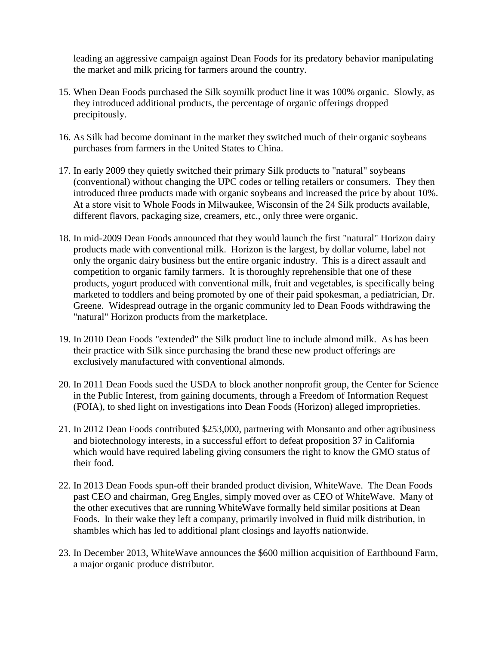leading an aggressive campaign against Dean Foods for its predatory behavior manipulating the market and milk pricing for farmers around the country.

- 15. When Dean Foods purchased the Silk soymilk product line it was 100% organic. Slowly, as they introduced additional products, the percentage of organic offerings dropped precipitously.
- 16. As Silk had become dominant in the market they switched much of their organic soybeans purchases from farmers in the United States to China.
- 17. In early 2009 they quietly switched their primary Silk products to "natural" soybeans (conventional) without changing the UPC codes or telling retailers or consumers. They then introduced three products made with organic soybeans and increased the price by about 10%. At a store visit to Whole Foods in Milwaukee, Wisconsin of the 24 Silk products available, different flavors, packaging size, creamers, etc., only three were organic.
- 18. In mid-2009 Dean Foods announced that they would launch the first "natural" Horizon dairy products made with conventional milk. Horizon is the largest, by dollar volume, label not only the organic dairy business but the entire organic industry. This is a direct assault and competition to organic family farmers. It is thoroughly reprehensible that one of these products, yogurt produced with conventional milk, fruit and vegetables, is specifically being marketed to toddlers and being promoted by one of their paid spokesman, a pediatrician, Dr. Greene. Widespread outrage in the organic community led to Dean Foods withdrawing the "natural" Horizon products from the marketplace.
- 19. In 2010 Dean Foods "extended" the Silk product line to include almond milk. As has been their practice with Silk since purchasing the brand these new product offerings are exclusively manufactured with conventional almonds.
- 20. In 2011 Dean Foods sued the USDA to block another nonprofit group, the Center for Science in the Public Interest, from gaining documents, through a Freedom of Information Request (FOIA), to shed light on investigations into Dean Foods (Horizon) alleged improprieties.
- 21. In 2012 Dean Foods contributed \$253,000, partnering with Monsanto and other agribusiness and biotechnology interests, in a successful effort to defeat proposition 37 in California which would have required labeling giving consumers the right to know the GMO status of their food.
- 22. In 2013 Dean Foods spun-off their branded product division, WhiteWave. The Dean Foods past CEO and chairman, Greg Engles, simply moved over as CEO of WhiteWave. Many of the other executives that are running WhiteWave formally held similar positions at Dean Foods. In their wake they left a company, primarily involved in fluid milk distribution, in shambles which has led to additional plant closings and layoffs nationwide.
- 23. In December 2013, WhiteWave announces the \$600 million acquisition of Earthbound Farm, a major organic produce distributor.